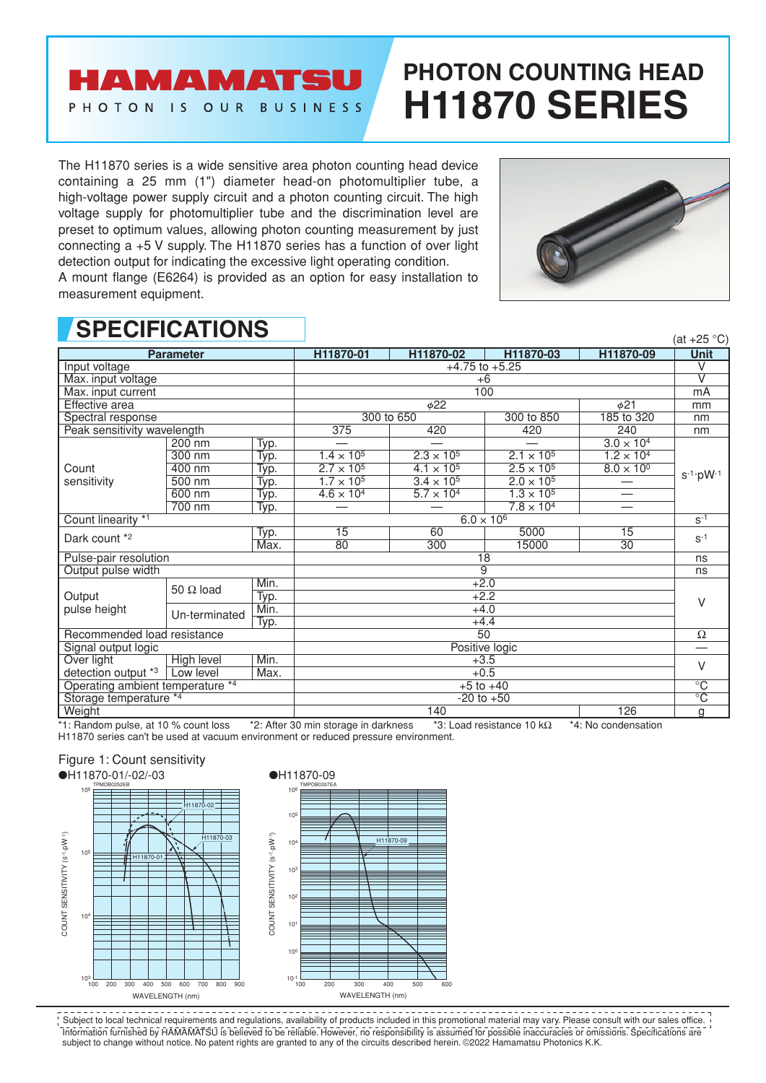# **PHOTON COUNTING HEAD H11870 SERIES**

The H11870 series is a wide sensitive area photon counting head device containing a 25 mm (1") diameter head-on photomultiplier tube, a high-voltage power supply circuit and a photon counting circuit. The high voltage supply for photomultiplier tube and the discrimination level are preset to optimum values, allowing photon counting measurement by just connecting a +5 V supply. The H11870 series has a function of over light detection output for indicating the excessive light operating condition. A mount flange (E6264) is provided as an option for easy installation to measurement equipment.

HAMAMATSU

PHOTON IS OUR BUSINESS



(at  $+25$  °C)

## **SPECIFICATIONS**

| <b>Parameter</b>                                                                                                  |                   |      | H11870-01                                      | H11870-02           | H11870-03           | H11870-09                | $(41.1 - 0.0)$<br><b>Unit</b> |
|-------------------------------------------------------------------------------------------------------------------|-------------------|------|------------------------------------------------|---------------------|---------------------|--------------------------|-------------------------------|
| Input voltage                                                                                                     |                   |      | $+4.75$ to $+5.25$                             |                     |                     |                          | $\overline{\mathsf{v}}$       |
| Max. input voltage                                                                                                |                   |      | $+6$                                           |                     |                     |                          | $\overline{\mathsf{v}}$       |
| Max. input current                                                                                                |                   |      | 100                                            |                     |                     |                          | mA                            |
| Effective area                                                                                                    |                   |      | $\phi$ 22<br>$\phi$ 21                         |                     |                     |                          | mm                            |
| Spectral response                                                                                                 |                   |      | 300 to 650                                     |                     | 300 to 850          | 185 to 320               | nm                            |
| Peak sensitivity wavelength                                                                                       |                   |      | 375                                            | 420                 | 420                 | 240                      | nm                            |
| Count<br>sensitivity                                                                                              | 200 nm            | Typ. |                                                |                     |                     | $3.0 \times 10^{4}$      | $s^{-1}$ ·pW-1                |
|                                                                                                                   | 300 nm            | Typ. | $1.4 \times 10^{5}$                            | $2.3 \times 10^{5}$ | $2.1 \times 10^{5}$ | $1.2 \times 10^{4}$      |                               |
|                                                                                                                   | 400 nm            | Typ. | $2.7 \times 10^{5}$                            | $4.1 \times 10^{5}$ | $2.5 \times 10^{5}$ | $8.0 \times 10^{0}$      |                               |
|                                                                                                                   | 500 nm            | Typ. | $1.7 \times 10^{5}$                            | $3.4 \times 10^{5}$ | $2.0 \times 10^{5}$ | —                        |                               |
|                                                                                                                   | 600 nm            | Typ. | $4.6 \times 10^{4}$                            | $5.7 \times 10^{4}$ | $1.3 \times 10^{5}$ | $\overline{\phantom{0}}$ |                               |
|                                                                                                                   | 700 nm            | Typ. |                                                |                     | $7.8 \times 10^{4}$ | —                        |                               |
| Count linearity *1                                                                                                |                   |      | $6.0 \times 10^6$                              |                     |                     |                          | $S^{-1}$                      |
| Dark count *2                                                                                                     |                   | Typ. | 15                                             | 60                  | 5000                | 15                       | $S-1$                         |
|                                                                                                                   |                   | Max. | 80                                             | 300                 | 15000               | $\overline{30}$          |                               |
| Pulse-pair resolution                                                                                             |                   |      | 18                                             |                     |                     |                          | ns                            |
| Output pulse width                                                                                                |                   |      | $\overline{9}$                                 |                     |                     |                          | ns                            |
| Output<br>pulse height                                                                                            | 50 $\Omega$ load  | Min. | $+2.0$                                         |                     |                     |                          | V                             |
|                                                                                                                   |                   | Typ. | $+2.2$                                         |                     |                     |                          |                               |
|                                                                                                                   | Un-terminated     | Min. | $+4.0$                                         |                     |                     |                          |                               |
|                                                                                                                   |                   | Typ. | $+4.4$                                         |                     |                     |                          |                               |
| Recommended load resistance                                                                                       |                   |      | $\overline{50}$                                |                     |                     |                          | Ω                             |
| Signal output logic                                                                                               |                   |      | Positive logic                                 |                     |                     |                          |                               |
| Over light                                                                                                        | <b>High level</b> | Min. | $+3.5$                                         |                     |                     |                          | $\vee$                        |
| detection output *3                                                                                               | Low level         | Max. | $+0.5$                                         |                     |                     |                          |                               |
| Operating ambient temperature *4                                                                                  |                   |      | $+5$ to $+40$                                  |                     |                     |                          | $\overline{C}$                |
| Storage temperature *4                                                                                            |                   |      | $-20$ to $+50$                                 |                     |                     |                          | $\overline{C}$                |
| Weight<br>$\sim$ $\sim$ $\sim$ $\sim$<br>$\sim$ $\sim$<br>$\mathbf{a}$ $\mathbf{a}$ $\mathbf{b}$<br>$\sim$ $\sim$ |                   |      | 126<br>140<br>. .<br>$\sim$ $\sim$<br>$\cdots$ |                     |                     |                          | g                             |

\*1: Random pulse, at 10 % count loss \*2: After 30 min storage in darkness \*3: Load resistance 10 kΩ \*4: No condensation H11870 series can't be used at vacuum environment or reduced pressure environment.

### Figure 1: Count sensitivity



Information furnished by HAMAMATSU is believed to be reliable. However, no responsibility is assumed for possible inaccuracies or omissions. Specifications are subject to change without notice. No patent rights are granted to any of the circuits described herein. ©2022 Hamamatsu Photonics K.K. Subject to local technical requirements and regulations, availability of products included in this promotional material may vary. Please consult with our sales office.